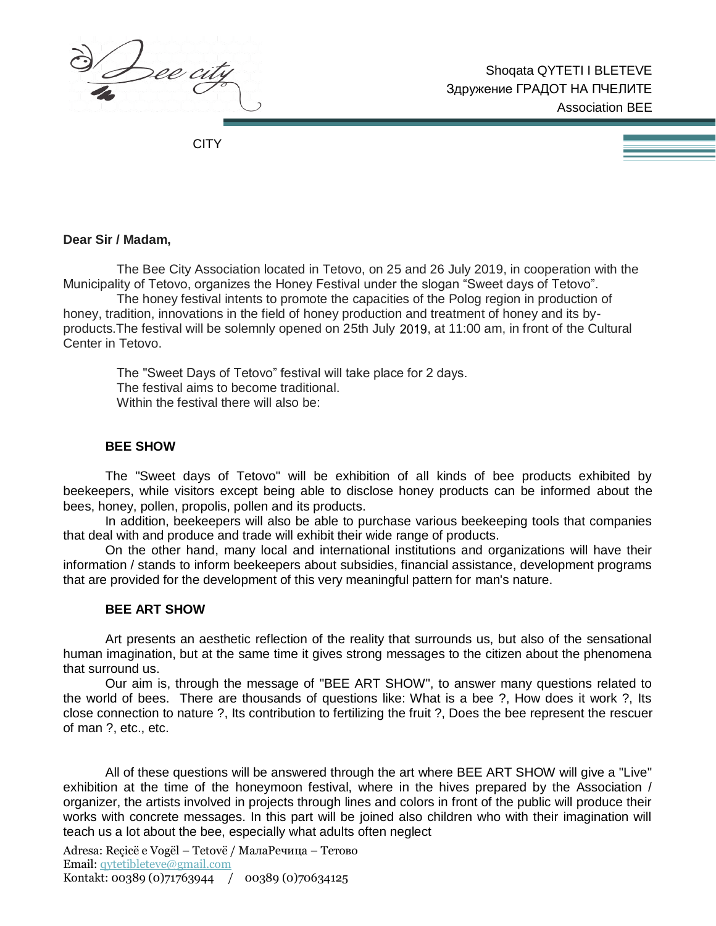)<br>2ee city

**CITY** 

## **Dear Sir / Madam,**

The Bee City Association located in Tetovo, on 25 and 26 July 2019, in cooperation with the Municipality of Tetovo, organizes the Honey Festival under the slogan "Sweet days of Tetovo".

The honey festival intents to promote the capacities of the Polog region in production of honey, tradition, innovations in the field of honey production and treatment of honey and its byproducts.The festival will be solemnly opened on 25th July 2018, at 11:00 am, in front of the Cultural Center in Tetovo.

The "Sweet Days of Tetovo" festival will take place for 2 days. The festival aims to become traditional. Within the festival there will also be:

### **BEE SHOW**

The "Sweet days of Tetovo" will be exhibition of all kinds of bee products exhibited by beekeepers, while visitors except being able to disclose honey products can be informed about the bees, honey, pollen, propolis, pollen and its products.

In addition, beekeepers will also be able to purchase various beekeeping tools that companies that deal with and produce and trade will exhibit their wide range of products.

On the other hand, many local and international institutions and organizations will have their information / stands to inform beekeepers about subsidies, financial assistance, development programs that are provided for the development of this very meaningful pattern for man's nature.

#### **BEE ART SHOW**

Art presents an aesthetic reflection of the reality that surrounds us, but also of the sensational human imagination, but at the same time it gives strong messages to the citizen about the phenomena that surround us.

Our aim is, through the message of "BEE ART SHOW", to answer many questions related to the world of bees. There are thousands of questions like: What is a bee ?, How does it work ?, Its close connection to nature ?, Its contribution to fertilizing the fruit ?, Does the bee represent the rescuer of man ?, etc., etc.

All of these questions will be answered through the art where BEE ART SHOW will give a "Live" exhibition at the time of the honeymoon festival, where in the hives prepared by the Association / organizer, the artists involved in projects through lines and colors in front of the public will produce their works with concrete messages. In this part will be joined also children who with their imagination will teach us a lot about the bee, especially what adults often neglect

Adresa: Reçicë e Vogël – Tetovë / МалаРечица – Тетово Email[: qytetibleteve@gmail.com](mailto:qytetibleteve@gmail.com) Kontakt: 00389 (0)71763944 / 00389 (0)70634125